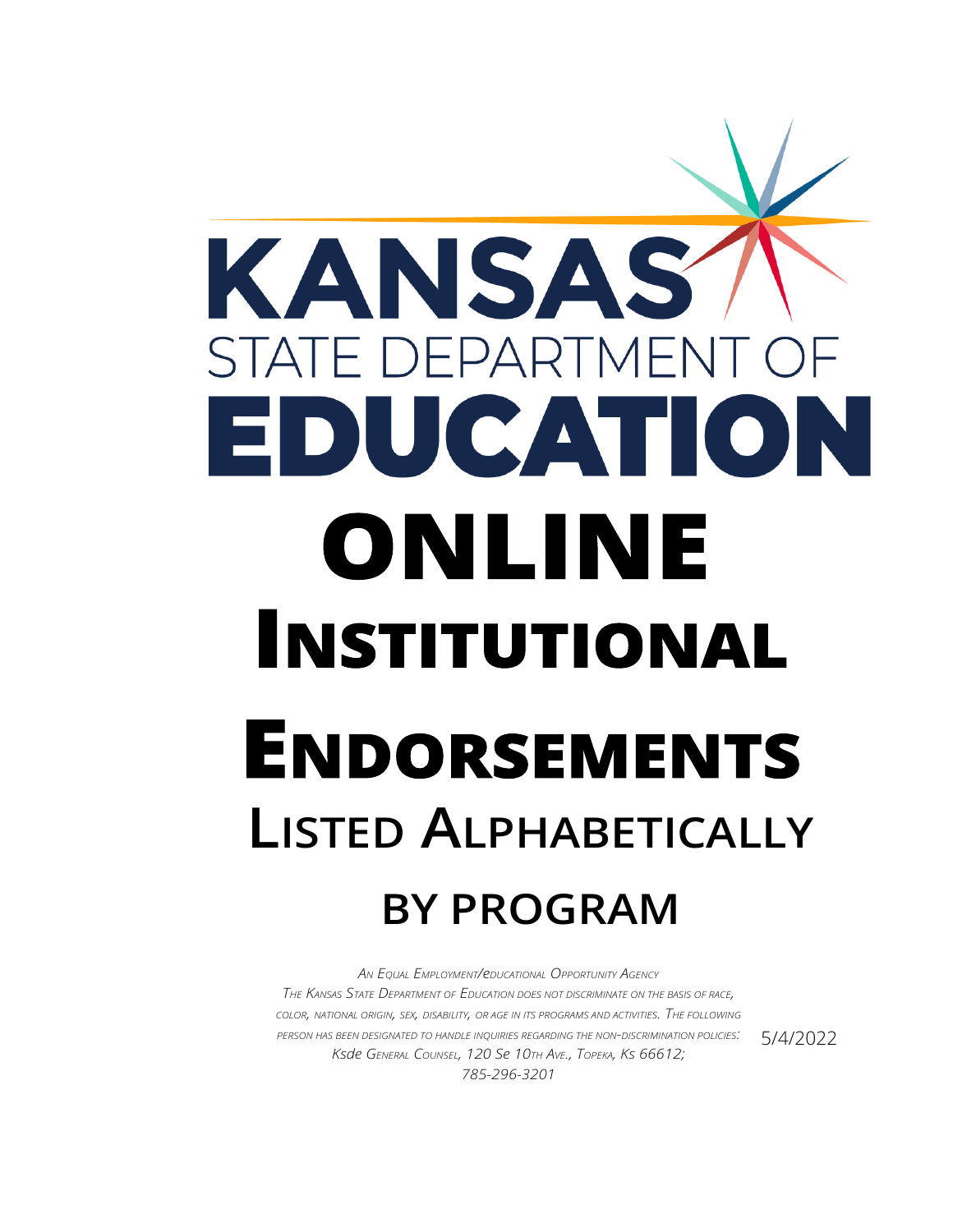## KANSAS **STATE DEPARTMEN** EDUCATION **ONLINE INSTITUTIONAL ENDORSEMENTS LISTED ALPHABETICALLY BY PROGRAM**

*AN EQUAL EMPLOYMENT/eDUCATIONAL OPPORTUNITY AGENCY THE KANSAS STATE DEPARTMENT OF EDUCATION DOES NOT DISCRIMINATE ON THE BASIS OF RACE, COLOR, NATIONAL ORIGIN, SEX, DISABILITY, OR AGE IN ITS PROGRAMS AND ACTIVITIES. THE FOLLOWING PERSON HAS BEEN DESIGNATED TO HANDLE INQUIRIES REGARDING THE NON-DISCRIMINATION POLICIES: Ksde GENERAL COUNSEL, 120 Se 10TH AVE., TOPEKA, Ks 66612; 785-296-3201*

5/4/2022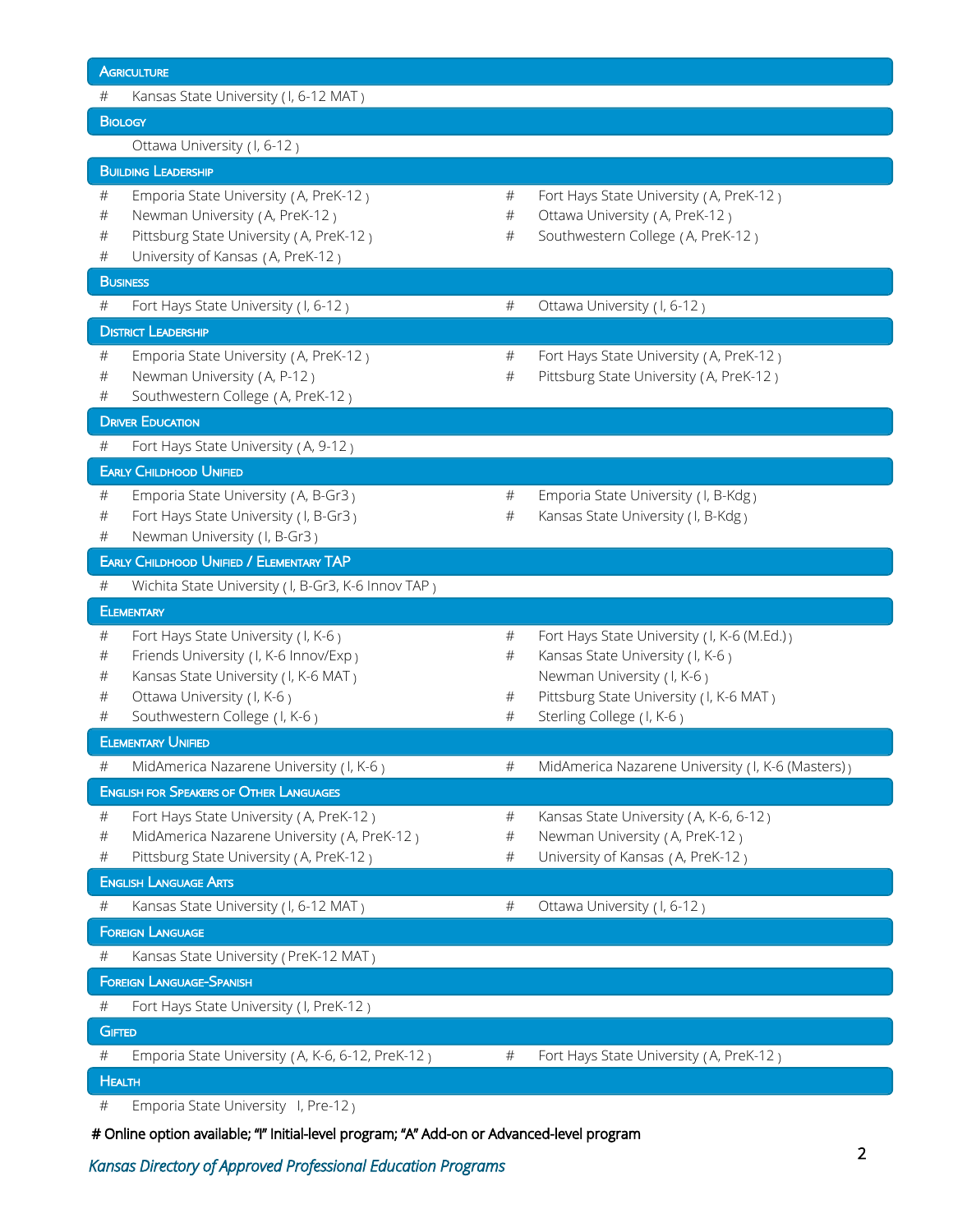| <b>AGRICULTURE</b>                                                                                                                                                                                              |                        |                                                                                                                                                                                       |  |  |  |
|-----------------------------------------------------------------------------------------------------------------------------------------------------------------------------------------------------------------|------------------------|---------------------------------------------------------------------------------------------------------------------------------------------------------------------------------------|--|--|--|
| $\#$<br>Kansas State University (I, 6-12 MAT)                                                                                                                                                                   |                        |                                                                                                                                                                                       |  |  |  |
| <b>BIOLOGY</b>                                                                                                                                                                                                  |                        |                                                                                                                                                                                       |  |  |  |
| Ottawa University (I, 6-12)                                                                                                                                                                                     |                        |                                                                                                                                                                                       |  |  |  |
| <b>BUILDING LEADERSHIP</b>                                                                                                                                                                                      |                        |                                                                                                                                                                                       |  |  |  |
| #<br>Emporia State University (A, PreK-12)<br>Newman University (A, PreK-12)<br>#<br>Pittsburg State University (A, PreK-12)<br>#<br>#<br>University of Kansas (A, PreK-12)                                     | #<br>#<br>#            | Fort Hays State University (A, PreK-12)<br>Ottawa University (A, PreK-12)<br>Southwestern College (A, PreK-12)                                                                        |  |  |  |
| <b>BUSINESS</b>                                                                                                                                                                                                 |                        |                                                                                                                                                                                       |  |  |  |
| Fort Hays State University (I, 6-12)<br>#                                                                                                                                                                       | $\#$                   | Ottawa University (I, 6-12)                                                                                                                                                           |  |  |  |
| <b>DISTRICT LEADERSHIP</b>                                                                                                                                                                                      |                        |                                                                                                                                                                                       |  |  |  |
| $\#$<br>Emporia State University (A, PreK-12)<br>Newman University (A, P-12)<br>#<br>Southwestern College (A, PreK-12)<br>#                                                                                     | #<br>$\#$              | Fort Hays State University (A, PreK-12)<br>Pittsburg State University (A, PreK-12)                                                                                                    |  |  |  |
| <b>DRIVER EDUCATION</b>                                                                                                                                                                                         |                        |                                                                                                                                                                                       |  |  |  |
| #<br>Fort Hays State University (A, 9-12)<br><b>EARLY CHILDHOOD UNIFIED</b>                                                                                                                                     |                        |                                                                                                                                                                                       |  |  |  |
|                                                                                                                                                                                                                 |                        |                                                                                                                                                                                       |  |  |  |
| #<br>Emporia State University (A, B-Gr3)<br>Fort Hays State University (I, B-Gr3)<br>#<br>Newman University (I, B-Gr3)<br>#                                                                                     | #<br>$\#$              | Emporia State University (I, B-Kdg)<br>Kansas State University (I, B-Kdg)                                                                                                             |  |  |  |
| EARLY CHILDHOOD UNIFIED / ELEMENTARY TAP                                                                                                                                                                        |                        |                                                                                                                                                                                       |  |  |  |
| Wichita State University (I, B-Gr3, K-6 Innov TAP)<br>#                                                                                                                                                         |                        |                                                                                                                                                                                       |  |  |  |
| <b>ELEMENTARY</b>                                                                                                                                                                                               |                        |                                                                                                                                                                                       |  |  |  |
| $\#$<br>Fort Hays State University (I, K-6)<br>#<br>Friends University (I, K-6 Innov/Exp)<br>Kansas State University (I, K-6 MAT)<br>#<br>Ottawa University (I, K-6)<br>#<br>Southwestern College (I, K-6)<br># | #<br>$\#$<br>#<br>$\#$ | Fort Hays State University (I, K-6 (M.Ed.))<br>Kansas State University (I, K-6)<br>Newman University (I, K-6)<br>Pittsburg State University (I, K-6 MAT)<br>Sterling College (I, K-6) |  |  |  |
| <b>ELEMENTARY UNIFIED</b>                                                                                                                                                                                       |                        |                                                                                                                                                                                       |  |  |  |
| $\#$<br>MidAmerica Nazarene University (I, K-6)                                                                                                                                                                 | #                      | MidAmerica Nazarene University (I, K-6 (Masters))                                                                                                                                     |  |  |  |
| <b>ENGLISH FOR SPEAKERS OF OTHER LANGUAGES</b>                                                                                                                                                                  |                        |                                                                                                                                                                                       |  |  |  |
| $\#$<br>Fort Hays State University (A, PreK-12)<br>MidAmerica Nazarene University (A, PreK-12)<br>#<br>Pittsburg State University (A, PreK-12)<br>#                                                             | #<br>$\#$<br>$\#$      | Kansas State University (A, K-6, 6-12)<br>Newman University (A, PreK-12)<br>University of Kansas (A, PreK-12)                                                                         |  |  |  |
| <b>ENGLISH LANGUAGE ARTS</b>                                                                                                                                                                                    |                        |                                                                                                                                                                                       |  |  |  |
| $\#$<br>Kansas State University (I, 6-12 MAT)                                                                                                                                                                   | #                      | Ottawa University (I, 6-12)                                                                                                                                                           |  |  |  |
| <b>FOREIGN LANGUAGE</b>                                                                                                                                                                                         |                        |                                                                                                                                                                                       |  |  |  |
| Kansas State University (PreK-12 MAT)<br>#                                                                                                                                                                      |                        |                                                                                                                                                                                       |  |  |  |
| <b>FOREIGN LANGUAGE-SPANISH</b>                                                                                                                                                                                 |                        |                                                                                                                                                                                       |  |  |  |
| Fort Hays State University (I, PreK-12)<br>#                                                                                                                                                                    |                        |                                                                                                                                                                                       |  |  |  |
| <b>GIFTED</b>                                                                                                                                                                                                   |                        |                                                                                                                                                                                       |  |  |  |
| $\#$<br>Emporia State University (A, K-6, 6-12, PreK-12)                                                                                                                                                        | #                      | Fort Hays State University (A, PreK-12)                                                                                                                                               |  |  |  |
| <b>HEALTH</b><br>Emporia State University I, Pre-12)<br>#                                                                                                                                                       |                        |                                                                                                                                                                                       |  |  |  |

# Online option available; "I" Initial-level program; "A" Add-on or Advanced-level program

*Kansas Directory of Approved Professional Education Programs* <sup>2</sup>